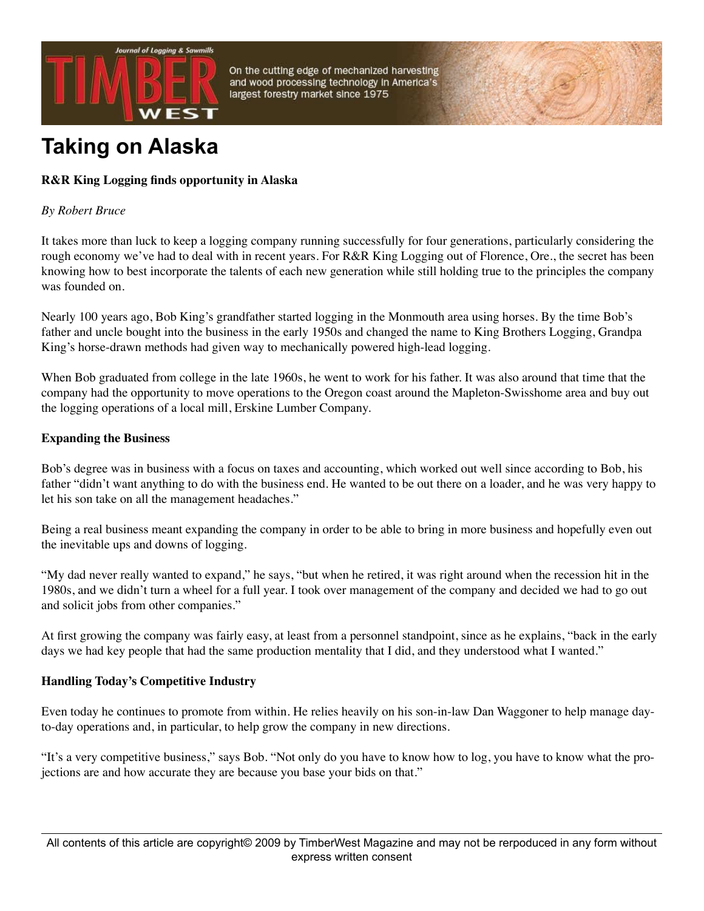

On the cutting edge of mechanized harvesting and wood processing technology in America's largest forestry market since 1975

# **Taking on Alaska**

# **R&R King Logging finds opportunity in Alaska**

## *By Robert Bruce*

It takes more than luck to keep a logging company running successfully for four generations, particularly considering the rough economy we've had to deal with in recent years. For R&R King Logging out of Florence, Ore., the secret has been knowing how to best incorporate the talents of each new generation while still holding true to the principles the company was founded on.

Nearly 100 years ago, Bob King's grandfather started logging in the Monmouth area using horses. By the time Bob's father and uncle bought into the business in the early 1950s and changed the name to King Brothers Logging, Grandpa King's horse-drawn methods had given way to mechanically powered high-lead logging.

When Bob graduated from college in the late 1960s, he went to work for his father. It was also around that time that the company had the opportunity to move operations to the Oregon coast around the Mapleton-Swisshome area and buy out the logging operations of a local mill, Erskine Lumber Company.

## **Expanding the Business**

Bob's degree was in business with a focus on taxes and accounting, which worked out well since according to Bob, his father "didn't want anything to do with the business end. He wanted to be out there on a loader, and he was very happy to let his son take on all the management headaches."

Being a real business meant expanding the company in order to be able to bring in more business and hopefully even out the inevitable ups and downs of logging.

"My dad never really wanted to expand," he says, "but when he retired, it was right around when the recession hit in the 1980s, and we didn't turn a wheel for a full year. I took over management of the company and decided we had to go out and solicit jobs from other companies."

At first growing the company was fairly easy, at least from a personnel standpoint, since as he explains, "back in the early days we had key people that had the same production mentality that I did, and they understood what I wanted."

# **Handling Today's Competitive Industry**

Even today he continues to promote from within. He relies heavily on his son-in-law Dan Waggoner to help manage dayto-day operations and, in particular, to help grow the company in new directions.

"It's a very competitive business," says Bob. "Not only do you have to know how to log, you have to know what the projections are and how accurate they are because you base your bids on that."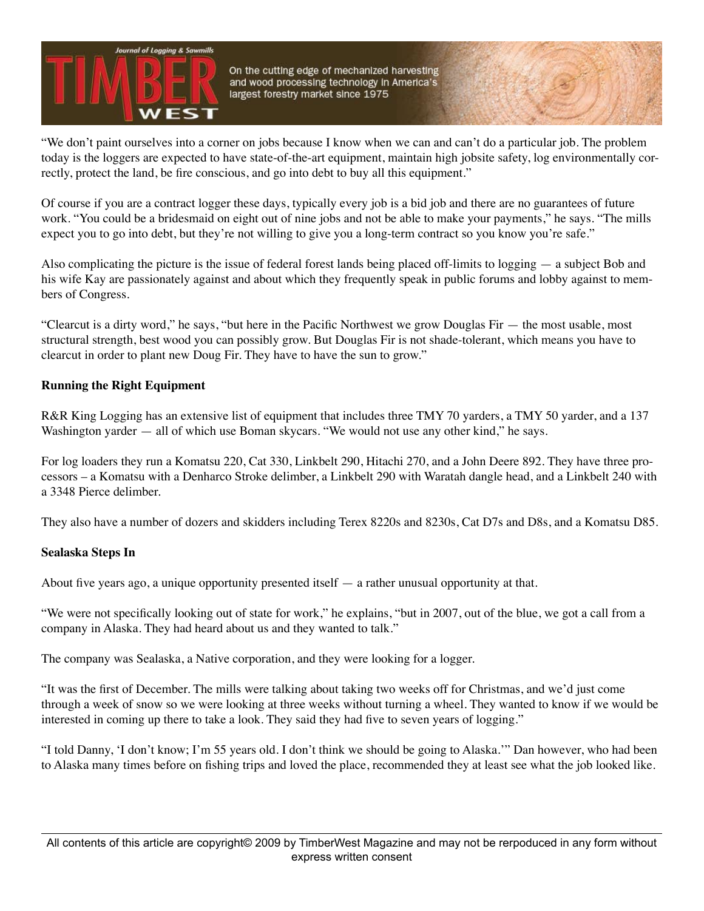

On the cutting edge of mechanized harvesting and wood processing technology in America's largest forestry market since 1975

"We don't paint ourselves into a corner on jobs because I know when we can and can't do a particular job. The problem today is the loggers are expected to have state-of-the-art equipment, maintain high jobsite safety, log environmentally correctly, protect the land, be fire conscious, and go into debt to buy all this equipment."

Of course if you are a contract logger these days, typically every job is a bid job and there are no guarantees of future work. "You could be a bridesmaid on eight out of nine jobs and not be able to make your payments," he says. "The mills expect you to go into debt, but they're not willing to give you a long-term contract so you know you're safe."

Also complicating the picture is the issue of federal forest lands being placed off-limits to logging — a subject Bob and his wife Kay are passionately against and about which they frequently speak in public forums and lobby against to members of Congress.

"Clearcut is a dirty word," he says, "but here in the Pacific Northwest we grow Douglas Fir — the most usable, most structural strength, best wood you can possibly grow. But Douglas Fir is not shade-tolerant, which means you have to clearcut in order to plant new Doug Fir. They have to have the sun to grow."

## **Running the Right Equipment**

R&R King Logging has an extensive list of equipment that includes three TMY 70 yarders, a TMY 50 yarder, and a 137 Washington yarder — all of which use Boman skycars. "We would not use any other kind," he says.

For log loaders they run a Komatsu 220, Cat 330, Linkbelt 290, Hitachi 270, and a John Deere 892. They have three processors – a Komatsu with a Denharco Stroke delimber, a Linkbelt 290 with Waratah dangle head, and a Linkbelt 240 with a 3348 Pierce delimber.

They also have a number of dozers and skidders including Terex 8220s and 8230s, Cat D7s and D8s, and a Komatsu D85.

#### **Sealaska Steps In**

About five years ago, a unique opportunity presented itself  $-$  a rather unusual opportunity at that.

"We were not specifically looking out of state for work," he explains, "but in 2007, out of the blue, we got a call from a company in Alaska. They had heard about us and they wanted to talk."

The company was Sealaska, a Native corporation, and they were looking for a logger.

"It was the first of December. The mills were talking about taking two weeks off for Christmas, and we'd just come through a week of snow so we were looking at three weeks without turning a wheel. They wanted to know if we would be interested in coming up there to take a look. They said they had five to seven years of logging."

"I told Danny, 'I don't know; I'm 55 years old. I don't think we should be going to Alaska.'" Dan however, who had been to Alaska many times before on fishing trips and loved the place, recommended they at least see what the job looked like.